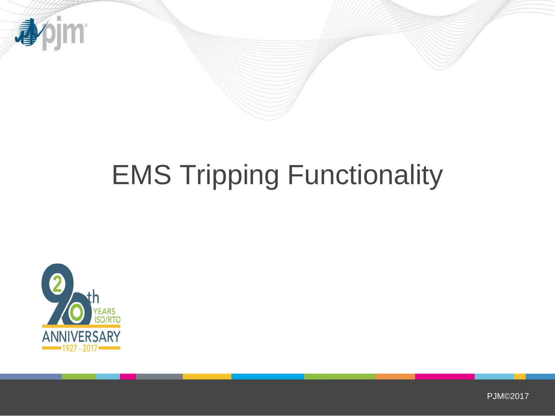

# EMS Tripping Functionality



PJM©2017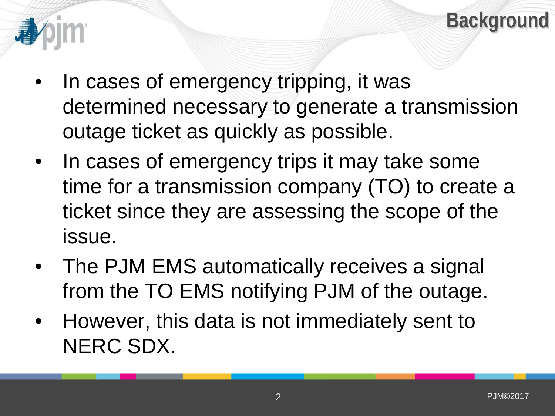

- In cases of emergency tripping, it was determined necessary to generate a transmission outage ticket as quickly as possible.
- In cases of emergency trips it may take some time for a transmission company (TO) to create a ticket since they are assessing the scope of the issue.
- The PJM EMS automatically receives a signal from the TO EMS notifying PJM of the outage.
- However, this data is not immediately sent to NERC SDX.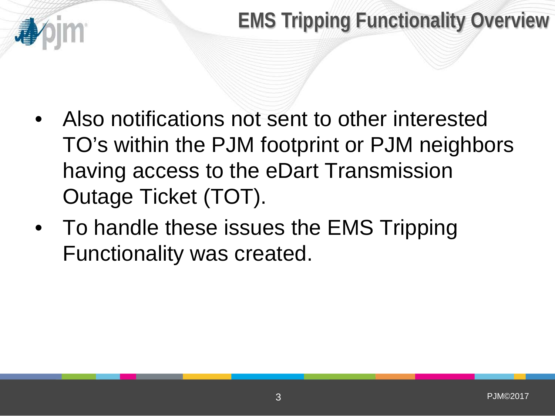- Also notifications not sent to other interested TO's within the PJM footprint or PJM neighbors having access to the eDart Transmission Outage Ticket (TOT).
- To handle these issues the EMS Tripping Functionality was created.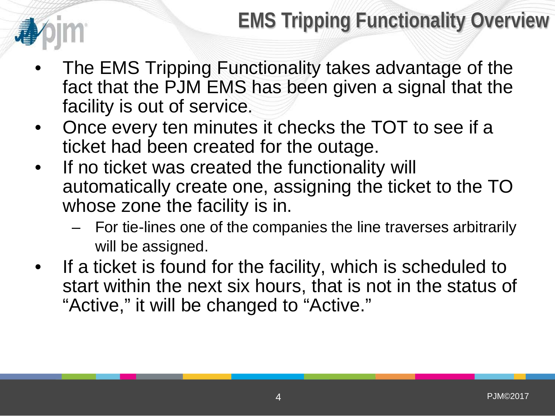- The EMS Tripping Functionality takes advantage of the fact that the PJM EMS has been given a signal that the facility is out of service.
- Once every ten minutes it checks the TOT to see if a ticket had been created for the outage.
- If no ticket was created the functionality will automatically create one, assigning the ticket to the TO whose zone the facility is in.
	- For tie-lines one of the companies the line traverses arbitrarily will be assigned.
- If a ticket is found for the facility, which is scheduled to start within the next six hours, that is not in the status of "Active," it will be changed to "Active."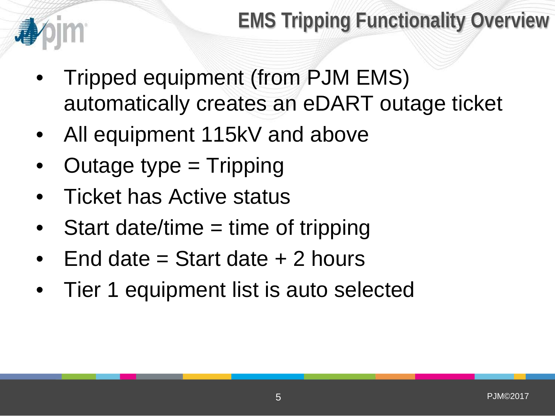- Tripped equipment (from PJM EMS) automatically creates an eDART outage ticket
- All equipment 115kV and above
- Outage type = Tripping
- Ticket has Active status
- Start date/time = time of tripping
- End date  $=$  Start date  $+$  2 hours
- Tier 1 equipment list is auto selected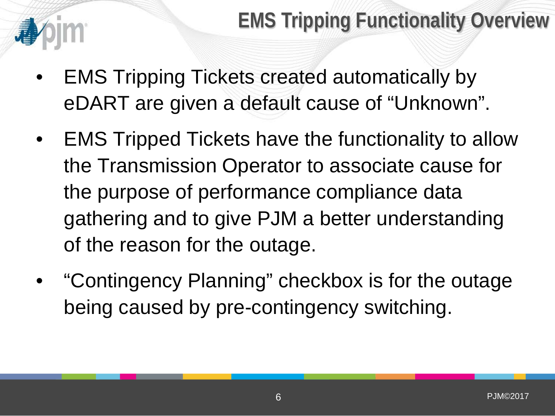- EMS Tripping Tickets created automatically by eDART are given a default cause of "Unknown".
- EMS Tripped Tickets have the functionality to allow the Transmission Operator to associate cause for the purpose of performance compliance data gathering and to give PJM a better understanding of the reason for the outage.
- "Contingency Planning" checkbox is for the outage being caused by pre-contingency switching.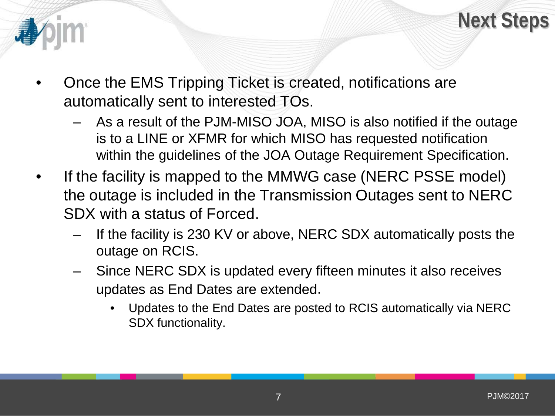



- Once the EMS Tripping Ticket is created, notifications are automatically sent to interested TOs.
	- As a result of the PJM-MISO JOA, MISO is also notified if the outage is to a LINE or XFMR for which MISO has requested notification within the guidelines of the JOA Outage Requirement Specification.
- If the facility is mapped to the MMWG case (NERC PSSE model) the outage is included in the Transmission Outages sent to NERC SDX with a status of Forced.
	- If the facility is 230 KV or above, NERC SDX automatically posts the outage on RCIS.
	- Since NERC SDX is updated every fifteen minutes it also receives updates as End Dates are extended.
		- Updates to the End Dates are posted to RCIS automatically via NERC SDX functionality.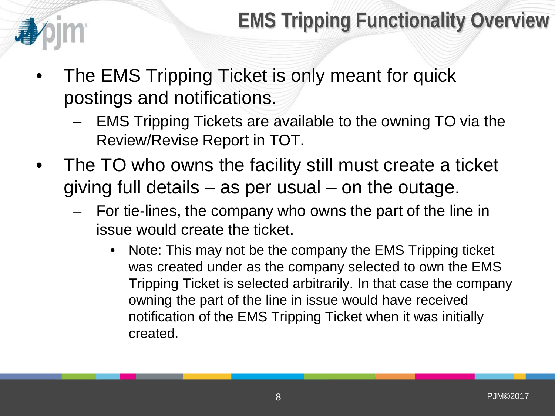- The EMS Tripping Ticket is only meant for quick postings and notifications.
	- EMS Tripping Tickets are available to the owning TO via the Review/Revise Report in TOT.
- The TO who owns the facility still must create a ticket giving full details – as per usual – on the outage.
	- For tie-lines, the company who owns the part of the line in issue would create the ticket.
		- Note: This may not be the company the EMS Tripping ticket was created under as the company selected to own the EMS Tripping Ticket is selected arbitrarily. In that case the company owning the part of the line in issue would have received notification of the EMS Tripping Ticket when it was initially created.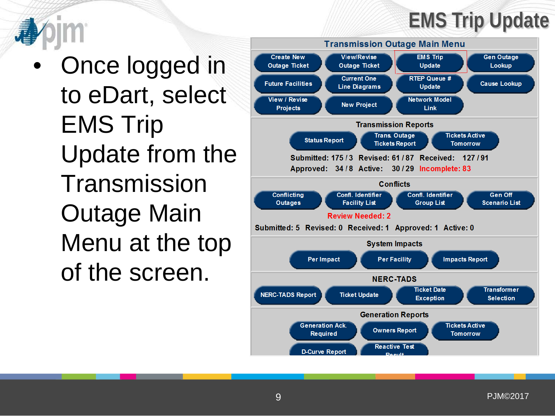### **EMS Trip Update**

• Once logged in to eDart, select EMS Trip Update from the **Transmission** Outage Main Menu at the top of the screen.

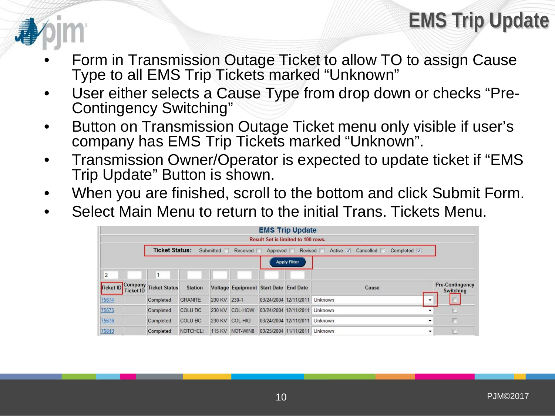#### **EMS Trip Update**

- Form in Transmission Outage Ticket to allow TO to assign Cause Type to all EMS Trip Tickets marked "Unknown"
- User either selects a Cause Type from drop down or checks "Pre-<br>Contingency Switching"
- Button on Transmission Outage Ticket menu only visible if user's company has EMS Trip Tickets marked "Unknown".
- Transmission Owner/Operator is expected to update ticket if "EMS Trip Update" Button is shown.
- When you are finished, scroll to the bottom and click Submit Form.
- Select Main Menu to return to the initial Trans. Tickets Menu.

|                                    |                                                                                                |                       |                 |              |                                       |  | <b>EMS Trip Update</b>        |       |   |                                     |
|------------------------------------|------------------------------------------------------------------------------------------------|-----------------------|-----------------|--------------|---------------------------------------|--|-------------------------------|-------|---|-------------------------------------|
| Result Set is limited to 100 rows. |                                                                                                |                       |                 |              |                                       |  |                               |       |   |                                     |
|                                    | <b>Ticket Status:</b><br>Submitted Received Approved Revised Active V Cancelled<br>Completed V |                       |                 |              |                                       |  |                               |       |   |                                     |
| <b>Apply Filter</b>                |                                                                                                |                       |                 |              |                                       |  |                               |       |   |                                     |
| $\overline{2}$                     |                                                                                                |                       |                 |              |                                       |  |                               |       |   |                                     |
| Ticket ID                          | <b>Ticket ID</b>                                                                               | Company Ticket Status | <b>Station</b>  |              | Voltage Equipment Start Date End Date |  |                               | Cause |   | <b>Pre-Contingency</b><br>Switching |
| 75674                              |                                                                                                | Completed             | <b>GRANITE</b>  | 230 KV 230-1 |                                       |  | 03/24/2004 12/11/2011 Unknown |       | ٠ | E                                   |
| 75675                              |                                                                                                | Completed             | <b>COLU BC</b>  |              | 230 KV COL-HOW                        |  | 03/24/2004 12/11/2011 Unknown |       |   | $\Box$                              |
| 75676                              |                                                                                                | Completed             | <b>COLU BC</b>  |              | 230 KV COL-HIG                        |  | 03/24/2004 12/11/2011 Unknown |       |   | $\Box$                              |
| 75843                              |                                                                                                | Completed             | <b>NOTCHCLI</b> |              | 115 KV NOT-WIN8                       |  | 03/25/2004 11/11/2011 Unknown |       | ۰ | n                                   |